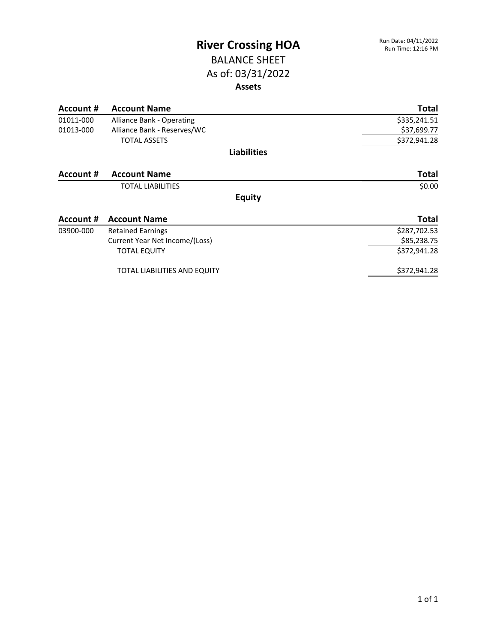### BALANCE SHEET As of: 03/31/2022 **Assets**

| Account #        | <b>Account Name</b>            | <b>Total</b> |
|------------------|--------------------------------|--------------|
| 01011-000        | Alliance Bank - Operating      | \$335,241.51 |
| 01013-000        | Alliance Bank - Reserves/WC    | \$37,699.77  |
|                  | <b>TOTAL ASSETS</b>            | \$372,941.28 |
|                  | <b>Liabilities</b>             |              |
| Account #        | <b>Account Name</b>            | <b>Total</b> |
|                  | <b>TOTAL LIABILITIES</b>       | \$0.00       |
|                  | <b>Equity</b>                  |              |
| <b>Account #</b> | <b>Account Name</b>            | <b>Total</b> |
| 03900-000        | <b>Retained Earnings</b>       | \$287,702.53 |
|                  | Current Year Net Income/(Loss) | \$85,238.75  |
|                  | <b>TOTAL EQUITY</b>            | \$372,941.28 |
|                  | TOTAL LIABILITIES AND EQUITY   | \$372,941.28 |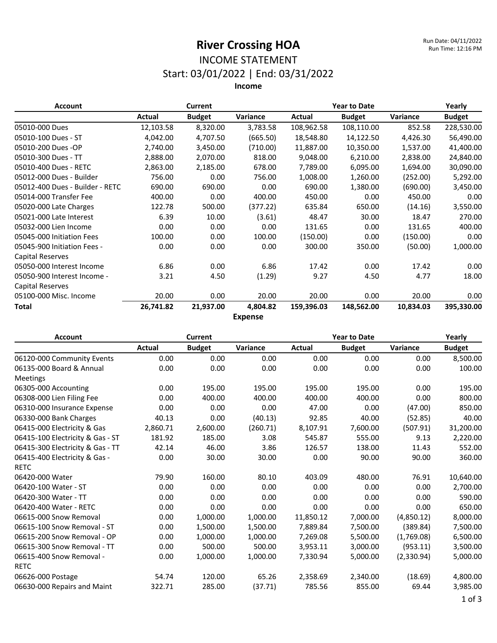### INCOME STATEMENT Start: 03/01/2022 | End: 03/31/2022

**Income**

| <b>Account</b>                  |           | Current       |                |            | <b>Year to Date</b> |           | Yearly        |
|---------------------------------|-----------|---------------|----------------|------------|---------------------|-----------|---------------|
|                                 | Actual    | <b>Budget</b> | Variance       | Actual     | <b>Budget</b>       | Variance  | <b>Budget</b> |
| 05010-000 Dues                  | 12,103.58 | 8,320.00      | 3,783.58       | 108,962.58 | 108,110.00          | 852.58    | 228,530.00    |
| 05010-100 Dues - ST             | 4,042.00  | 4,707.50      | (665.50)       | 18,548.80  | 14,122.50           | 4,426.30  | 56,490.00     |
| 05010-200 Dues -OP              | 2,740.00  | 3,450.00      | (710.00)       | 11,887.00  | 10,350.00           | 1,537.00  | 41,400.00     |
| 05010-300 Dues - TT             | 2,888.00  | 2,070.00      | 818.00         | 9,048.00   | 6,210.00            | 2,838.00  | 24,840.00     |
| 05010-400 Dues - RETC           | 2,863.00  | 2,185.00      | 678.00         | 7,789.00   | 6,095.00            | 1,694.00  | 30,090.00     |
| 05012-000 Dues - Builder        | 756.00    | 0.00          | 756.00         | 1,008.00   | 1,260.00            | (252.00)  | 5,292.00      |
| 05012-400 Dues - Builder - RETC | 690.00    | 690.00        | 0.00           | 690.00     | 1,380.00            | (690.00)  | 3,450.00      |
| 05014-000 Transfer Fee          | 400.00    | 0.00          | 400.00         | 450.00     | 0.00                | 450.00    | 0.00          |
| 05020-000 Late Charges          | 122.78    | 500.00        | (377.22)       | 635.84     | 650.00              | (14.16)   | 3,550.00      |
| 05021-000 Late Interest         | 6.39      | 10.00         | (3.61)         | 48.47      | 30.00               | 18.47     | 270.00        |
| 05032-000 Lien Income           | 0.00      | 0.00          | 0.00           | 131.65     | 0.00                | 131.65    | 400.00        |
| 05045-000 Initiation Fees       | 100.00    | 0.00          | 100.00         | (150.00)   | 0.00                | (150.00)  | 0.00          |
| 05045-900 Initiation Fees -     | 0.00      | 0.00          | 0.00           | 300.00     | 350.00              | (50.00)   | 1,000.00      |
| <b>Capital Reserves</b>         |           |               |                |            |                     |           |               |
| 05050-000 Interest Income       | 6.86      | 0.00          | 6.86           | 17.42      | 0.00                | 17.42     | 0.00          |
| 05050-900 Interest Income -     | 3.21      | 4.50          | (1.29)         | 9.27       | 4.50                | 4.77      | 18.00         |
| Capital Reserves                |           |               |                |            |                     |           |               |
| 05100-000 Misc. Income          | 20.00     | 0.00          | 20.00          | 20.00      | 0.00                | 20.00     | 0.00          |
| Total                           | 26,741.82 | 21,937.00     | 4,804.82       | 159,396.03 | 148,562.00          | 10,834.03 | 395,330.00    |
|                                 |           |               | <b>Expense</b> |            |                     |           |               |

**Account Current Year to Date Yearly Actual Budget Variance Actual Budget Variance Budget** 06120-000 Community Events 0.00 0.00 0.00 0.00 0.00 0.00 8,500.00 06135-000 Board & Annual Meetings 0.00 0.00 0.00 0.00 0.00 0.00 100.00 06305-000 Accounting 0.00 195.00 195.00 195.00 195.00 0.00 195.00 06308-000 Lien Filing Fee  $\begin{array}{cccc} 0.00 & 400.00 & 400.00 & 400.00 & 400.00 & 0.00 & 0.00 \end{array}$ 06310-000 Insurance Expense 0.00 0.00 0.00 47.00 0.00 (47.00) 850.00 06330-000 Bank Charges 40.13 0.00 (40.13) 92.85 40.00 (52.85) 40.00 06415-000 Electricity & Gas 2,860.71 2,600.00 (260.71) 8,107.91 7,600.00 (507.91) 31,200.00 06415-100 Electricity & Gas - ST  $181.92$   $185.00$   $3.08$   $545.87$   $555.00$   $9.13$   $2,220.00$ 06415-300 Electricity & Gas - TT 42.14 46.00 3.86 126.57 138.00 11.43 552.00 06415-400 Electricity & Gas - RETC 0.00 30.00 30.00 0.00 90.00 90.00 360.00 06420-000 Water 79.90 160.00 80.10 403.09 480.00 76.91 10,640.00 06420-100 Water - ST 0.00 0.00 0.00 0.00 0.00 0.00 2,700.00 06420-300 Water - TT 0.00 0.00 0.00 0.00 0.00 590.00 06420-400 Water - RETC 0.00 0.00 0.00 0.00 0.00 0.00 650.00 06615-000 Snow Removal 0.00 1,000.00 1,000.00 11,850.12 7,000.00 (4,850.12) 8,000.00 06615-100 Snow Removal - ST 0.00 1,500.00 1,500.00 7,889.84 7,500.00 (389.84) 7,500.00 06615-200 Snow Removal - OP 0.00 1,000.00 1,000.00 7,269.08 5,500.00 (1,769.08) 6,500.00 06615-300 Snow Removal - TT  $0.00$  500.00 500.00 3,953.11 3,000.00 (953.11) 3,500.00 06615-400 Snow Removal - RETC 0.00 1,000.00 1,000.00 7,330.94 5,000.00 (2,330.94) 5,000.00 06626-000 Postage 54.74 120.00 65.26 2,358.69 2,340.00 (18.69) 4,800.00 06630-000 Repairs and Maint 322.71 285.00 (37.71) 785.56 855.00 69.44 3,985.00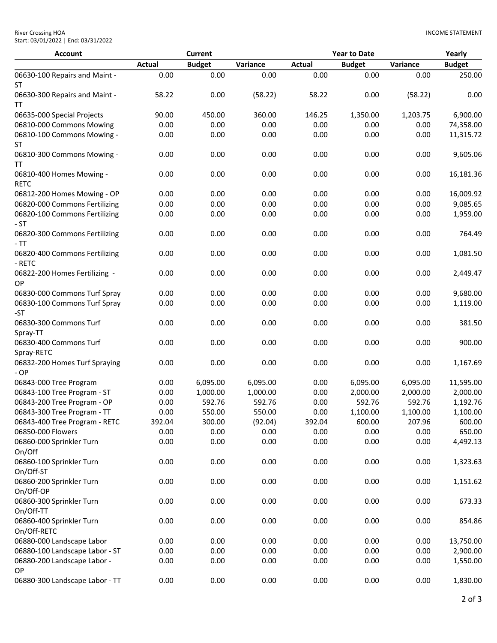| <b>Account</b>                             |               | <b>Current</b> |          |               | <b>Year to Date</b> |          | Yearly        |
|--------------------------------------------|---------------|----------------|----------|---------------|---------------------|----------|---------------|
|                                            | <b>Actual</b> | <b>Budget</b>  | Variance | <b>Actual</b> | <b>Budget</b>       | Variance | <b>Budget</b> |
| 06630-100 Repairs and Maint -<br><b>ST</b> | 0.00          | 0.00           | 0.00     | 0.00          | 0.00                | 0.00     | 250.00        |
| 06630-300 Repairs and Maint -<br>TT        | 58.22         | 0.00           | (58.22)  | 58.22         | 0.00                | (58.22)  | 0.00          |
| 06635-000 Special Projects                 | 90.00         | 450.00         | 360.00   | 146.25        | 1,350.00            | 1,203.75 | 6,900.00      |
| 06810-000 Commons Mowing                   | 0.00          | 0.00           | 0.00     | 0.00          | 0.00                | 0.00     | 74,358.00     |
| 06810-100 Commons Mowing -                 | 0.00          | 0.00           | 0.00     | 0.00          | 0.00                | 0.00     | 11,315.72     |
| ST                                         |               |                |          |               |                     |          |               |
| 06810-300 Commons Mowing -<br>TΤ           | 0.00          | 0.00           | 0.00     | 0.00          | 0.00                | 0.00     | 9,605.06      |
| 06810-400 Homes Mowing -<br><b>RETC</b>    | 0.00          | 0.00           | 0.00     | 0.00          | 0.00                | 0.00     | 16,181.36     |
| 06812-200 Homes Mowing - OP                | 0.00          | 0.00           | 0.00     | 0.00          | 0.00                | 0.00     | 16,009.92     |
| 06820-000 Commons Fertilizing              | 0.00          | 0.00           | 0.00     | 0.00          | 0.00                | 0.00     | 9,085.65      |
| 06820-100 Commons Fertilizing<br>- ST      | 0.00          | 0.00           | 0.00     | 0.00          | 0.00                | 0.00     | 1,959.00      |
| 06820-300 Commons Fertilizing<br>$-TT$     | 0.00          | 0.00           | 0.00     | 0.00          | 0.00                | 0.00     | 764.49        |
| 06820-400 Commons Fertilizing<br>- RETC    | 0.00          | 0.00           | 0.00     | 0.00          | 0.00                | 0.00     | 1,081.50      |
| 06822-200 Homes Fertilizing -<br><b>OP</b> | 0.00          | 0.00           | 0.00     | 0.00          | 0.00                | 0.00     | 2,449.47      |
| 06830-000 Commons Turf Spray               | 0.00          | 0.00           | 0.00     | 0.00          | 0.00                | 0.00     | 9,680.00      |
| 06830-100 Commons Turf Spray<br>-ST        | 0.00          | 0.00           | 0.00     | 0.00          | 0.00                | 0.00     | 1,119.00      |
| 06830-300 Commons Turf<br>Spray-TT         | 0.00          | 0.00           | 0.00     | 0.00          | 0.00                | 0.00     | 381.50        |
| 06830-400 Commons Turf<br>Spray-RETC       | 0.00          | 0.00           | 0.00     | 0.00          | 0.00                | 0.00     | 900.00        |
| 06832-200 Homes Turf Spraying<br>$-OP$     | 0.00          | 0.00           | 0.00     | 0.00          | 0.00                | 0.00     | 1,167.69      |
| 06843-000 Tree Program                     | 0.00          | 6,095.00       | 6,095.00 | 0.00          | 6,095.00            | 6,095.00 | 11,595.00     |
| 06843-100 Tree Program - ST                | 0.00          | 1,000.00       | 1,000.00 | 0.00          | 2,000.00            | 2,000.00 | 2,000.00      |
| 06843-200 Tree Program - OP                | 0.00          | 592.76         | 592.76   | 0.00          | 592.76              | 592.76   | 1,192.76      |
| 06843-300 Tree Program - TT                | 0.00          | 550.00         | 550.00   | 0.00          | 1,100.00            | 1,100.00 | 1,100.00      |
| 06843-400 Tree Program - RETC              | 392.04        | 300.00         | (92.04)  | 392.04        | 600.00              | 207.96   | 600.00        |
| 06850-000 Flowers                          | 0.00          | 0.00           | 0.00     | 0.00          | 0.00                | 0.00     | 650.00        |
| 06860-000 Sprinkler Turn<br>On/Off         | 0.00          | 0.00           | 0.00     | 0.00          | 0.00                | 0.00     | 4,492.13      |
| 06860-100 Sprinkler Turn<br>On/Off-ST      | 0.00          | 0.00           | 0.00     | 0.00          | 0.00                | 0.00     | 1,323.63      |
| 06860-200 Sprinkler Turn<br>On/Off-OP      | 0.00          | 0.00           | 0.00     | 0.00          | 0.00                | 0.00     | 1,151.62      |
| 06860-300 Sprinkler Turn<br>On/Off-TT      | 0.00          | 0.00           | 0.00     | 0.00          | 0.00                | 0.00     | 673.33        |
| 06860-400 Sprinkler Turn<br>On/Off-RETC    | 0.00          | 0.00           | 0.00     | 0.00          | 0.00                | 0.00     | 854.86        |
| 06880-000 Landscape Labor                  | 0.00          | 0.00           | 0.00     | 0.00          | 0.00                | 0.00     | 13,750.00     |
| 06880-100 Landscape Labor - ST             | 0.00          | 0.00           | 0.00     | 0.00          | 0.00                | 0.00     | 2,900.00      |
| 06880-200 Landscape Labor -<br><b>OP</b>   | 0.00          | 0.00           | 0.00     | 0.00          | 0.00                | 0.00     | 1,550.00      |
| 06880-300 Landscape Labor - TT             | 0.00          | 0.00           | 0.00     | 0.00          | 0.00                | 0.00     | 1,830.00      |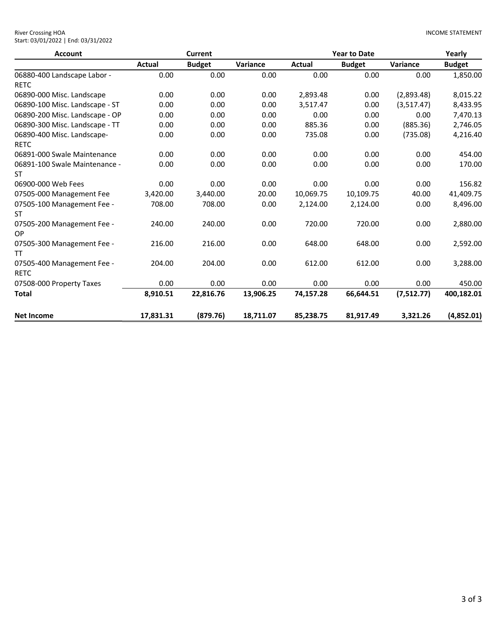| River Crossing HOA                  |  |
|-------------------------------------|--|
| Start: 03/01/2022   End: 03/31/2022 |  |

| <b>Account</b>                 |           | Current       |           |           | <b>Year to Date</b> |            | Yearly        |  |  |
|--------------------------------|-----------|---------------|-----------|-----------|---------------------|------------|---------------|--|--|
|                                | Actual    | <b>Budget</b> | Variance  | Actual    | <b>Budget</b>       | Variance   | <b>Budget</b> |  |  |
| 06880-400 Landscape Labor -    | 0.00      | 0.00          | 0.00      | 0.00      | 0.00                | 0.00       | 1,850.00      |  |  |
| <b>RETC</b>                    |           |               |           |           |                     |            |               |  |  |
| 06890-000 Misc. Landscape      | 0.00      | 0.00          | 0.00      | 2,893.48  | 0.00                | (2,893.48) | 8,015.22      |  |  |
| 06890-100 Misc. Landscape - ST | 0.00      | 0.00          | 0.00      | 3,517.47  | 0.00                | (3,517.47) | 8,433.95      |  |  |
| 06890-200 Misc. Landscape - OP | 0.00      | 0.00          | 0.00      | 0.00      | 0.00                | 0.00       | 7,470.13      |  |  |
| 06890-300 Misc. Landscape - TT | 0.00      | 0.00          | 0.00      | 885.36    | 0.00                | (885.36)   | 2,746.05      |  |  |
| 06890-400 Misc. Landscape-     | 0.00      | 0.00          | 0.00      | 735.08    | 0.00                | (735.08)   | 4,216.40      |  |  |
| <b>RETC</b>                    |           |               |           |           |                     |            |               |  |  |
| 06891-000 Swale Maintenance    | 0.00      | 0.00          | 0.00      | 0.00      | 0.00                | 0.00       | 454.00        |  |  |
| 06891-100 Swale Maintenance -  | 0.00      | 0.00          | 0.00      | 0.00      | 0.00                | 0.00       | 170.00        |  |  |
| ST                             |           |               |           |           |                     |            |               |  |  |
| 06900-000 Web Fees             | 0.00      | 0.00          | 0.00      | 0.00      | 0.00                | 0.00       | 156.82        |  |  |
| 07505-000 Management Fee       | 3,420.00  | 3,440.00      | 20.00     | 10,069.75 | 10,109.75           | 40.00      | 41,409.75     |  |  |
| 07505-100 Management Fee -     | 708.00    | 708.00        | 0.00      | 2,124.00  | 2,124.00            | 0.00       | 8,496.00      |  |  |
| ST                             |           |               |           |           |                     |            |               |  |  |
| 07505-200 Management Fee -     | 240.00    | 240.00        | 0.00      | 720.00    | 720.00              | 0.00       | 2,880.00      |  |  |
| OP                             |           |               |           |           |                     |            |               |  |  |
| 07505-300 Management Fee -     | 216.00    | 216.00        | 0.00      | 648.00    | 648.00              | 0.00       | 2,592.00      |  |  |
| TT                             |           |               |           |           |                     |            |               |  |  |
| 07505-400 Management Fee -     | 204.00    | 204.00        | 0.00      | 612.00    | 612.00              | 0.00       | 3,288.00      |  |  |
| <b>RETC</b>                    |           |               |           |           |                     |            |               |  |  |
| 07508-000 Property Taxes       | 0.00      | 0.00          | 0.00      | 0.00      | 0.00                | 0.00       | 450.00        |  |  |
| <b>Total</b>                   | 8,910.51  | 22,816.76     | 13,906.25 | 74,157.28 | 66,644.51           | (7,512.77) | 400,182.01    |  |  |
| <b>Net Income</b>              | 17.831.31 | (879.76)      | 18,711.07 | 85,238.75 | 81,917.49           | 3,321.26   | (4,852.01)    |  |  |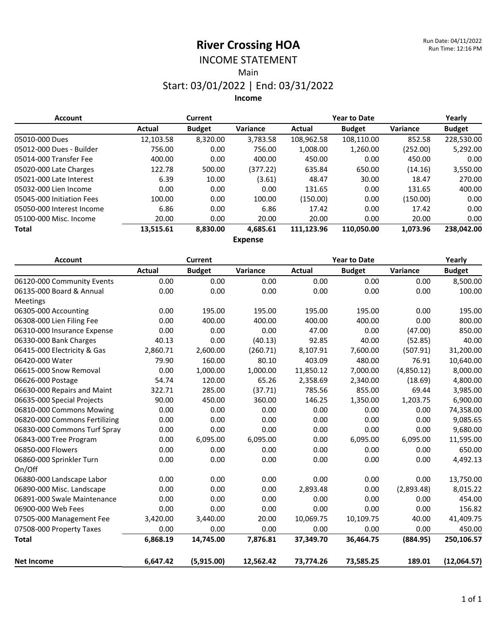# INCOME STATEMENT

Main

### Start: 03/01/2022 | End: 03/31/2022

**Income**

| <b>Account</b>            |           | <b>Current</b> |                | <b>Year to Date</b> |               |          | Yearly        |
|---------------------------|-----------|----------------|----------------|---------------------|---------------|----------|---------------|
|                           | Actual    | <b>Budget</b>  | Variance       | Actual              | <b>Budget</b> | Variance | <b>Budget</b> |
| 05010-000 Dues            | 12,103.58 | 8,320.00       | 3,783.58       | 108,962.58          | 108,110.00    | 852.58   | 228,530.00    |
| 05012-000 Dues - Builder  | 756.00    | 0.00           | 756.00         | 1,008.00            | 1,260.00      | (252.00) | 5,292.00      |
| 05014-000 Transfer Fee    | 400.00    | 0.00           | 400.00         | 450.00              | 0.00          | 450.00   | 0.00          |
| 05020-000 Late Charges    | 122.78    | 500.00         | (377.22)       | 635.84              | 650.00        | (14.16)  | 3,550.00      |
| 05021-000 Late Interest   | 6.39      | 10.00          | (3.61)         | 48.47               | 30.00         | 18.47    | 270.00        |
| 05032-000 Lien Income     | 0.00      | 0.00           | 0.00           | 131.65              | 0.00          | 131.65   | 400.00        |
| 05045-000 Initiation Fees | 100.00    | 0.00           | 100.00         | (150.00)            | 0.00          | (150.00) | 0.00          |
| 05050-000 Interest Income | 6.86      | 0.00           | 6.86           | 17.42               | 0.00          | 17.42    | 0.00          |
| 05100-000 Misc. Income    | 20.00     | 0.00           | 20.00          | 20.00               | 0.00          | 20.00    | 0.00          |
| <b>Total</b>              | 13,515.61 | 8,830.00       | 4,685.61       | 111,123.96          | 110,050.00    | 1,073.96 | 238,042.00    |
|                           |           |                | F <sub>2</sub> |                     |               |          |               |

**Expense**

| <b>Account</b>                |               | <b>Current</b> |           |               | <b>Year to Date</b> |            | Yearly        |  |  |
|-------------------------------|---------------|----------------|-----------|---------------|---------------------|------------|---------------|--|--|
|                               | <b>Actual</b> | <b>Budget</b>  | Variance  | <b>Actual</b> | <b>Budget</b>       | Variance   | <b>Budget</b> |  |  |
| 06120-000 Community Events    | 0.00          | 0.00           | 0.00      | 0.00          | 0.00                | 0.00       | 8,500.00      |  |  |
| 06135-000 Board & Annual      | 0.00          | 0.00           | 0.00      | 0.00          | 0.00                | 0.00       | 100.00        |  |  |
| Meetings                      |               |                |           |               |                     |            |               |  |  |
| 06305-000 Accounting          | 0.00          | 195.00         | 195.00    | 195.00        | 195.00              | 0.00       | 195.00        |  |  |
| 06308-000 Lien Filing Fee     | 0.00          | 400.00         | 400.00    | 400.00        | 400.00              | 0.00       | 800.00        |  |  |
| 06310-000 Insurance Expense   | 0.00          | 0.00           | 0.00      | 47.00         | 0.00                | (47.00)    | 850.00        |  |  |
| 06330-000 Bank Charges        | 40.13         | 0.00           | (40.13)   | 92.85         | 40.00               | (52.85)    | 40.00         |  |  |
| 06415-000 Electricity & Gas   | 2,860.71      | 2,600.00       | (260.71)  | 8,107.91      | 7,600.00            | (507.91)   | 31,200.00     |  |  |
| 06420-000 Water               | 79.90         | 160.00         | 80.10     | 403.09        | 480.00              | 76.91      | 10,640.00     |  |  |
| 06615-000 Snow Removal        | 0.00          | 1,000.00       | 1,000.00  | 11,850.12     | 7,000.00            | (4,850.12) | 8,000.00      |  |  |
| 06626-000 Postage             | 54.74         | 120.00         | 65.26     | 2,358.69      | 2,340.00            | (18.69)    | 4,800.00      |  |  |
| 06630-000 Repairs and Maint   | 322.71        | 285.00         | (37.71)   | 785.56        | 855.00              | 69.44      | 3,985.00      |  |  |
| 06635-000 Special Projects    | 90.00         | 450.00         | 360.00    | 146.25        | 1,350.00            | 1,203.75   | 6,900.00      |  |  |
| 06810-000 Commons Mowing      | 0.00          | 0.00           | 0.00      | 0.00          | 0.00                | 0.00       | 74,358.00     |  |  |
| 06820-000 Commons Fertilizing | 0.00          | 0.00           | 0.00      | 0.00          | 0.00                | 0.00       | 9,085.65      |  |  |
| 06830-000 Commons Turf Spray  | 0.00          | 0.00           | 0.00      | 0.00          | 0.00                | 0.00       | 9,680.00      |  |  |
| 06843-000 Tree Program        | 0.00          | 6,095.00       | 6,095.00  | 0.00          | 6,095.00            | 6,095.00   | 11,595.00     |  |  |
| 06850-000 Flowers             | 0.00          | 0.00           | 0.00      | 0.00          | 0.00                | 0.00       | 650.00        |  |  |
| 06860-000 Sprinkler Turn      | 0.00          | 0.00           | 0.00      | 0.00          | 0.00                | 0.00       | 4,492.13      |  |  |
| On/Off                        |               |                |           |               |                     |            |               |  |  |
| 06880-000 Landscape Labor     | 0.00          | 0.00           | 0.00      | 0.00          | 0.00                | 0.00       | 13,750.00     |  |  |
| 06890-000 Misc. Landscape     | 0.00          | 0.00           | 0.00      | 2,893.48      | 0.00                | (2,893.48) | 8,015.22      |  |  |
| 06891-000 Swale Maintenance   | 0.00          | 0.00           | 0.00      | 0.00          | 0.00                | 0.00       | 454.00        |  |  |
| 06900-000 Web Fees            | 0.00          | 0.00           | 0.00      | 0.00          | 0.00                | 0.00       | 156.82        |  |  |
| 07505-000 Management Fee      | 3,420.00      | 3,440.00       | 20.00     | 10,069.75     | 10,109.75           | 40.00      | 41,409.75     |  |  |
| 07508-000 Property Taxes      | 0.00          | 0.00           | 0.00      | 0.00          | 0.00                | 0.00       | 450.00        |  |  |
| <b>Total</b>                  | 6,868.19      | 14,745.00      | 7,876.81  | 37,349.70     | 36.464.75           | (884.95)   | 250,106.57    |  |  |
| <b>Net Income</b>             | 6,647.42      | (5,915.00)     | 12,562.42 | 73,774.26     | 73,585.25           | 189.01     | (12,064.57)   |  |  |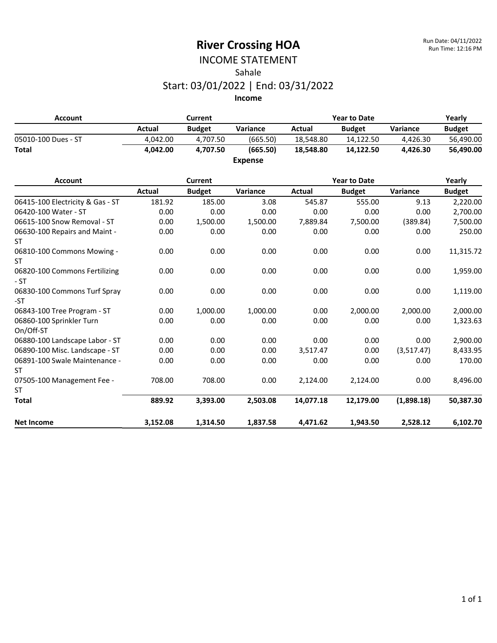### INCOME STATEMENT Sahale Start: 03/01/2022 | End: 03/31/2022

| <b>Account</b>      | Current  |               |                | <b>Year to Date</b> | Yearly        |                 |               |
|---------------------|----------|---------------|----------------|---------------------|---------------|-----------------|---------------|
|                     | Actual   | <b>Budget</b> | Variance       | Actual              | <b>Budget</b> | <b>Variance</b> | <b>Budget</b> |
| 05010-100 Dues - ST | 4.042.00 | 4.707.50      | (665.50)       | 18.548.80           | 14.122.50     | 4.426.30        | 56,490.00     |
| <b>Total</b>        | 4.042.00 | 4.707.50      | (665.50)       | 18.548.80           | 14.122.50     | 4.426.30        | 56.490.00     |
|                     |          |               | <b>Expense</b> |                     |               |                 |               |

| <b>Account</b>                         |          | <b>Current</b> |          |           | <b>Year to Date</b> |            | Yearly        |  |  |
|----------------------------------------|----------|----------------|----------|-----------|---------------------|------------|---------------|--|--|
|                                        | Actual   | <b>Budget</b>  | Variance | Actual    | <b>Budget</b>       | Variance   | <b>Budget</b> |  |  |
| 06415-100 Electricity & Gas - ST       | 181.92   | 185.00         | 3.08     | 545.87    | 555.00              | 9.13       | 2,220.00      |  |  |
| 06420-100 Water - ST                   | 0.00     | 0.00           | 0.00     | 0.00      | 0.00                | 0.00       | 2,700.00      |  |  |
| 06615-100 Snow Removal - ST            | 0.00     | 1,500.00       | 1,500.00 | 7,889.84  | 7,500.00            | (389.84)   | 7,500.00      |  |  |
| 06630-100 Repairs and Maint -<br>ST    | 0.00     | 0.00           | 0.00     | 0.00      | 0.00                | 0.00       | 250.00        |  |  |
| 06810-100 Commons Mowing -<br>ST       | 0.00     | 0.00           | 0.00     | 0.00      | 0.00                | 0.00       | 11,315.72     |  |  |
| 06820-100 Commons Fertilizing<br>$-ST$ | 0.00     | 0.00           | 0.00     | 0.00      | 0.00                | 0.00       | 1,959.00      |  |  |
| 06830-100 Commons Turf Spray<br>-ST    | 0.00     | 0.00           | 0.00     | 0.00      | 0.00                | 0.00       | 1,119.00      |  |  |
| 06843-100 Tree Program - ST            | 0.00     | 1,000.00       | 1,000.00 | 0.00      | 2,000.00            | 2,000.00   | 2,000.00      |  |  |
| 06860-100 Sprinkler Turn<br>On/Off-ST  | 0.00     | 0.00           | 0.00     | 0.00      | 0.00                | 0.00       | 1,323.63      |  |  |
| 06880-100 Landscape Labor - ST         | 0.00     | 0.00           | 0.00     | 0.00      | 0.00                | 0.00       | 2,900.00      |  |  |
| 06890-100 Misc. Landscape - ST         | 0.00     | 0.00           | 0.00     | 3,517.47  | 0.00                | (3,517.47) | 8,433.95      |  |  |
| 06891-100 Swale Maintenance -<br>ST    | 0.00     | 0.00           | 0.00     | 0.00      | 0.00                | 0.00       | 170.00        |  |  |
| 07505-100 Management Fee -             | 708.00   | 708.00         | 0.00     | 2,124.00  | 2,124.00            | 0.00       | 8,496.00      |  |  |
| ST                                     |          |                |          |           |                     |            |               |  |  |
| <b>Total</b>                           | 889.92   | 3,393.00       | 2,503.08 | 14,077.18 | 12,179.00           | (1,898.18) | 50,387.30     |  |  |
| <b>Net Income</b>                      | 3,152.08 | 1,314.50       | 1,837.58 | 4,471.62  | 1,943.50            | 2,528.12   | 6,102.70      |  |  |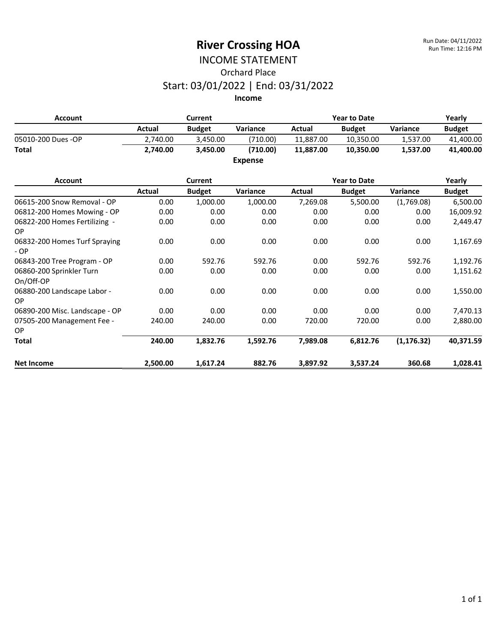# INCOME STATEMENT Orchard Place Start: 03/01/2022 | End: 03/31/2022

| <b>Account</b>     | Current  |               |                | <b>Year to Date</b> |               |                 | Yearly        |  |
|--------------------|----------|---------------|----------------|---------------------|---------------|-----------------|---------------|--|
|                    | Actual   | <b>Budget</b> | Variance       | Actual              | <b>Budget</b> | <b>Variance</b> | <b>Budget</b> |  |
| 05010-200 Dues -OP | 2.740.00 | 3.450.00      | (710.00)       | 11.887.00           | 10.350.00     | 1.537.00        | 41,400.00     |  |
| <b>Total</b>       | 2,740.00 | 3.450.00      | (710.00)       | 11.887.00           | 10,350.00     | 1,537.00        | 41,400.00     |  |
|                    |          |               | <b>Expense</b> |                     |               |                 |               |  |
| Account            |          | Currant       |                |                     | Voar to Date  |                 | Voarly        |  |

| <b>Account</b>                        |          | Current       |          |          | <b>Year to Date</b> |             | Yearly        |
|---------------------------------------|----------|---------------|----------|----------|---------------------|-------------|---------------|
|                                       | Actual   | <b>Budget</b> | Variance | Actual   | <b>Budget</b>       | Variance    | <b>Budget</b> |
| 06615-200 Snow Removal - OP           | 0.00     | 1,000.00      | 1,000.00 | 7,269.08 | 5,500.00            | (1,769.08)  | 6,500.00      |
| 06812-200 Homes Mowing - OP           | 0.00     | 0.00          | 0.00     | 0.00     | 0.00                | 0.00        | 16,009.92     |
| 06822-200 Homes Fertilizing -<br>OP.  | 0.00     | 0.00          | 0.00     | 0.00     | 0.00                | 0.00        | 2,449.47      |
| 06832-200 Homes Turf Spraying<br>- OP | 0.00     | 0.00          | 0.00     | 0.00     | 0.00                | 0.00        | 1,167.69      |
| 06843-200 Tree Program - OP           | 0.00     | 592.76        | 592.76   | 0.00     | 592.76              | 592.76      | 1,192.76      |
| 06860-200 Sprinkler Turn<br>On/Off-OP | 0.00     | 0.00          | 0.00     | 0.00     | 0.00                | 0.00        | 1,151.62      |
| 06880-200 Landscape Labor -<br>OP.    | 0.00     | 0.00          | 0.00     | 0.00     | 0.00                | 0.00        | 1,550.00      |
| 06890-200 Misc. Landscape - OP        | 0.00     | 0.00          | 0.00     | 0.00     | 0.00                | 0.00        | 7,470.13      |
| 07505-200 Management Fee -<br>OP.     | 240.00   | 240.00        | 0.00     | 720.00   | 720.00              | 0.00        | 2,880.00      |
| Total                                 | 240.00   | 1,832.76      | 1,592.76 | 7,989.08 | 6,812.76            | (1, 176.32) | 40,371.59     |
| <b>Net Income</b>                     | 2,500.00 | 1,617.24      | 882.76   | 3,897.92 | 3,537.24            | 360.68      | 1,028.41      |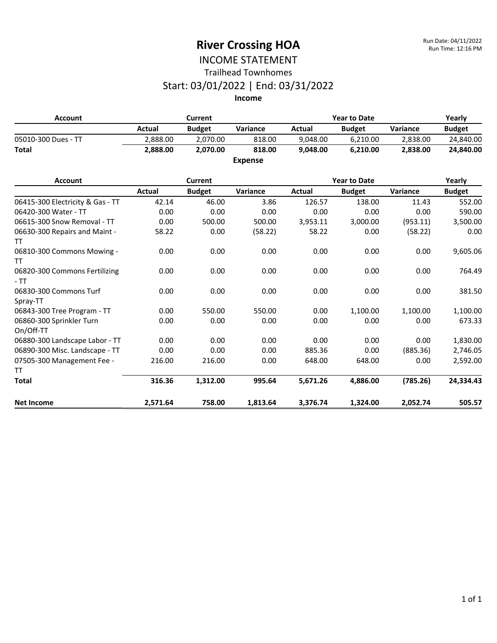### INCOME STATEMENT Trailhead Townhomes

#### Start: 03/01/2022 | End: 03/31/2022

**Income**

| Current<br>Account  |          |               | <b>Year to Date</b> | Yearly   |               |                 |               |
|---------------------|----------|---------------|---------------------|----------|---------------|-----------------|---------------|
|                     | Actual   | <b>Budget</b> | <b>Variance</b>     | Actual   | <b>Budget</b> | <b>Variance</b> | <b>Budget</b> |
| 05010-300 Dues - TT | 2.888.00 | 2.070.00      | 818.00              | 9.048.00 | 6.210.00      | 2.838.00        | 24,840.00     |
| <b>Total</b>        | 2.888.00 | 2.070.00      | 818.00              | 9.048.00 | 6.210.00      | 2.838.00        | 24.840.00     |
|                     |          |               | <b>Expense</b>      |          |               |                 |               |

#### **Account Current Year to Date Yearly Actual Budget Variance Actual Budget Variance Budget** 06415-300 Electricity & Gas - TT  $42.14$   $46.00$   $3.86$   $126.57$   $138.00$   $11.43$   $552.00$ 06420-300 Water - TT 0.00 0.00 0.00 0.00 0.00 0.00 590.00 06615-300 Snow Removal - TT  $0.00$  500.00 500.00 3,953.11 3,000.00 (953.11) 3,500.00 06630-300 Repairs and Maint - TT 58.22 0.00 (58.22) 58.22 0.00 (58.22) 0.00 06810-300 Commons Mowing - TT 0.00 0.00 0.00 0.00 0.00 0.00 9,605.06 06820-300 Commons Fertilizing - TT 0.00 0.00 0.00 0.00 0.00 0.00 764.49 06830-300 Commons Turf Spray-TT 0.00 0.00 0.00 0.00 0.00 0.00 381.50 06843-300 Tree Program - TT  $0.00$  550.00 550.00 0.00 1,100.00 1,100.00 1,100.00 06860-300 Sprinkler Turn On/Off-TT 0.00 0.00 0.00 0.00 0.00 0.00 673.33 06880-300 Landscape Labor - TT  $\rule{1em}{0.00}\qquad \qquad 0.00$  0.00 0.00 0.00 0.00 0.00 1,830.00 06890-300 Misc. Landscape - TT and the 0.00 0.00 0.00 0.00 885.36 0.00 0.00 0.00 0.746.05 07505-300 Management Fee - TT 216.00 216.00 0.00 648.00 648.00 0.00 2,592.00 **Total 316.36 1,312.00 995.64 5,671.26 4,886.00 (785.26) 24,334.43 Net Income 2,571.64 758.00 1,813.64 3,376.74 1,324.00 2,052.74 505.57**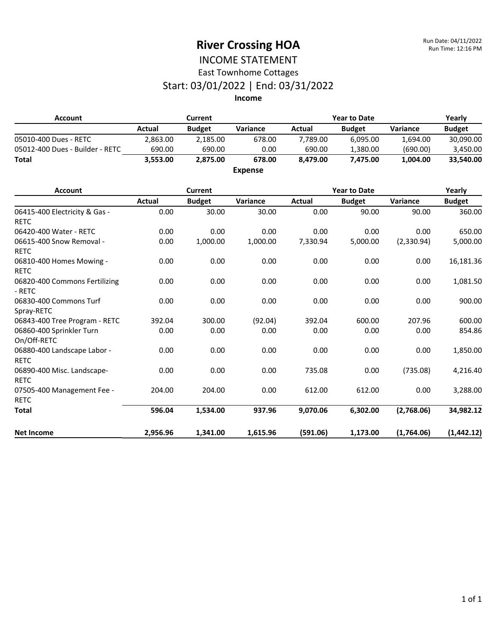### INCOME STATEMENT East Townhome Cottages

# Start: 03/01/2022 | End: 03/31/2022

| <b>Account</b>                               | <b>Current</b> |                |                | <b>Year to Date</b> |                     |            | Yearly        |
|----------------------------------------------|----------------|----------------|----------------|---------------------|---------------------|------------|---------------|
|                                              | <b>Actual</b>  | <b>Budget</b>  | Variance       | <b>Actual</b>       | <b>Budget</b>       | Variance   | <b>Budget</b> |
| 05010-400 Dues - RETC                        | 2,863.00       | 2,185.00       | 678.00         | 7,789.00            | 6,095.00            | 1,694.00   | 30,090.00     |
| 05012-400 Dues - Builder - RETC              | 690.00         | 690.00         | 0.00           | 690.00              | 1,380.00            | (690.00)   | 3,450.00      |
| <b>Total</b>                                 | 3,553.00       | 2,875.00       | 678.00         | 8,479.00            | 7,475.00            | 1,004.00   | 33,540.00     |
|                                              |                |                | <b>Expense</b> |                     |                     |            |               |
| <b>Account</b>                               |                | <b>Current</b> |                |                     | <b>Year to Date</b> |            | Yearly        |
|                                              | Actual         | <b>Budget</b>  | Variance       | Actual              | <b>Budget</b>       | Variance   | <b>Budget</b> |
| 06415-400 Electricity & Gas -<br><b>RETC</b> | 0.00           | 30.00          | 30.00          | 0.00                | 90.00               | 90.00      | 360.00        |
| 06420-400 Water - RETC                       | 0.00           | 0.00           | 0.00           | 0.00                | 0.00                | 0.00       | 650.00        |
| 06615-400 Snow Removal -                     | 0.00           | 1,000.00       | 1,000.00       | 7,330.94            | 5,000.00            | (2,330.94) | 5,000.00      |
| <b>RETC</b>                                  |                |                |                |                     |                     |            |               |
| 06810-400 Homes Mowing -                     | 0.00           | 0.00           | 0.00           | 0.00                | 0.00                | 0.00       | 16,181.36     |
| <b>RETC</b>                                  |                |                |                |                     |                     |            |               |
| 06820-400 Commons Fertilizing<br>- RETC      | 0.00           | 0.00           | 0.00           | 0.00                | 0.00                | 0.00       | 1,081.50      |
| 06830-400 Commons Turf<br>Spray-RETC         | 0.00           | 0.00           | 0.00           | 0.00                | 0.00                | 0.00       | 900.00        |
| 06843-400 Tree Program - RETC                | 392.04         | 300.00         | (92.04)        | 392.04              | 600.00              | 207.96     | 600.00        |
| 06860-400 Sprinkler Turn<br>On/Off-RETC      | 0.00           | 0.00           | 0.00           | 0.00                | 0.00                | 0.00       | 854.86        |
| 06880-400 Landscape Labor -<br><b>RETC</b>   | 0.00           | 0.00           | 0.00           | 0.00                | 0.00                | 0.00       | 1,850.00      |
| 06890-400 Misc. Landscape-<br><b>RETC</b>    | 0.00           | 0.00           | 0.00           | 735.08              | 0.00                | (735.08)   | 4,216.40      |
| 07505-400 Management Fee -<br><b>RETC</b>    | 204.00         | 204.00         | 0.00           | 612.00              | 612.00              | 0.00       | 3,288.00      |
| <b>Total</b>                                 | 596.04         | 1,534.00       | 937.96         | 9,070.06            | 6,302.00            | (2,768.06) | 34,982.12     |
| <b>Net Income</b>                            | 2,956.96       | 1,341.00       | 1,615.96       | (591.06)            | 1,173.00            | (1,764.06) | (1,442.12)    |